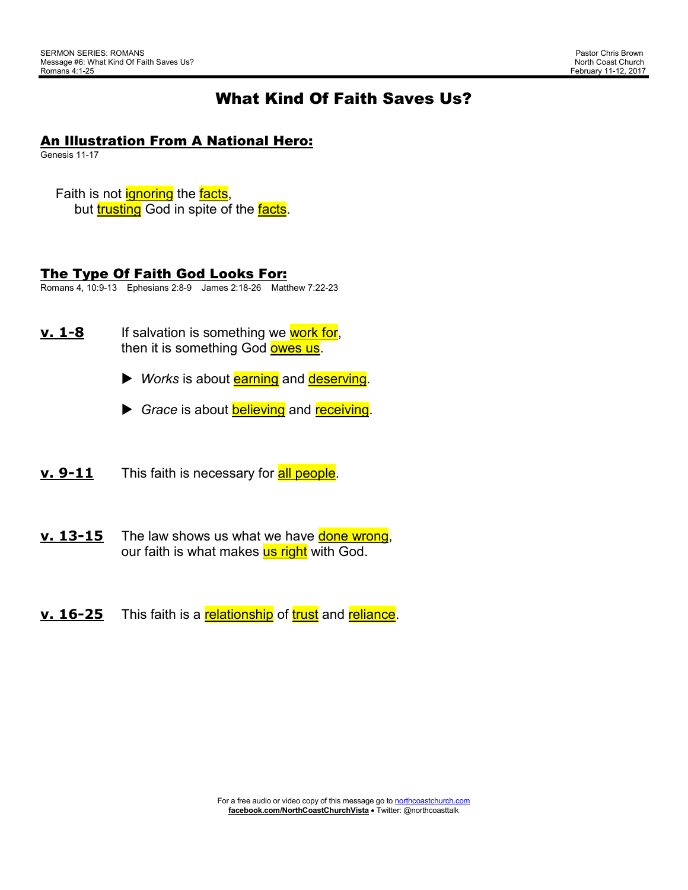# What Kind Of Faith Saves Us?

### An Illustration From A National Hero:

Genesis 11-17

Faith is not **ignoring** the **facts**, but trusting God in spite of the facts.

# The Type Of Faith God Looks For:

Romans 4, 10:9-13 Ephesians 2:8-9 James 2:18-26 Matthew 7:22-23

- **<u>v. 1-8</u>** If salvation is something we work for, then it is something God owes us.
	- **►** *Works* is about **earning** and **deserving**.
	- Grace is about **believing** and receiving.

**v. 9-11** This faith is necessary for **all people**.

- **<u>v. 13-15</u>** The law shows us what we have **done wrong**, our faith is what makes us right with God.
- **<u>v. 16-25</u>** This faith is a relationship of trust and reliance.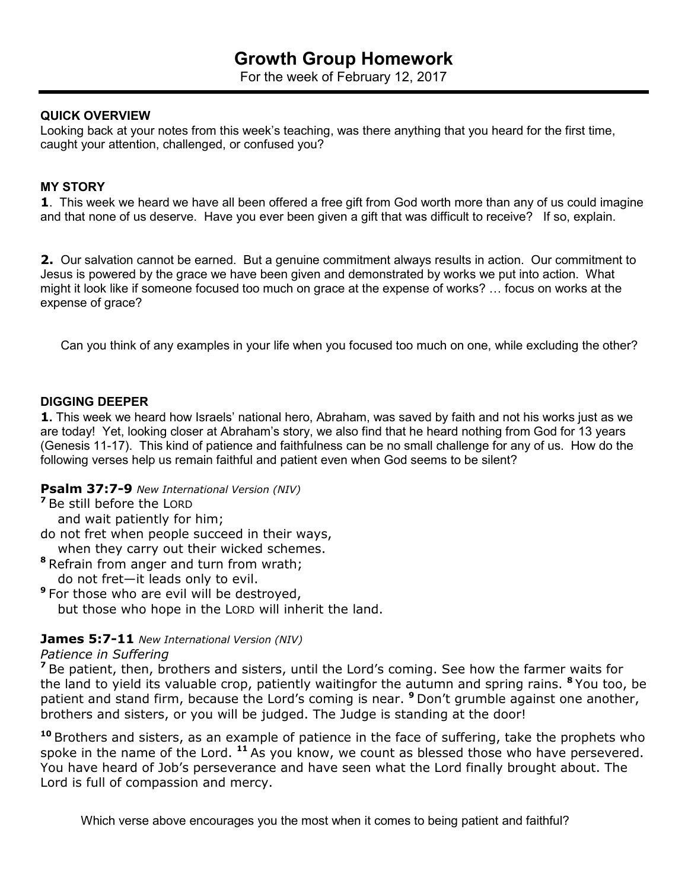For the week of February 12, 2017

#### **QUICK OVERVIEW**

Looking back at your notes from this week's teaching, was there anything that you heard for the first time, caught your attention, challenged, or confused you?

#### **MY STORY**

**1**. This week we heard we have all been offered a free gift from God worth more than any of us could imagine and that none of us deserve. Have you ever been given a gift that was difficult to receive? If so, explain.

**2.** Our salvation cannot be earned. But a genuine commitment always results in action. Our commitment to Jesus is powered by the grace we have been given and demonstrated by works we put into action. What might it look like if someone focused too much on grace at the expense of works? … focus on works at the expense of grace?

Can you think of any examples in your life when you focused too much on one, while excluding the other?

#### **DIGGING DEEPER**

**1.** This week we heard how Israels' national hero, Abraham, was saved by faith and not his works just as we are today! Yet, looking closer at Abraham's story, we also find that he heard nothing from God for 13 years (Genesis 11-17). This kind of patience and faithfulness can be no small challenge for any of us. How do the following verses help us remain faithful and patient even when God seems to be silent?

#### **Psalm 37:7-9** *New International Version (NIV)*

**<sup>7</sup>**Be still before the LORD

and wait patiently for him;

do not fret when people succeed in their ways,

when they carry out their wicked schemes.

- **<sup>8</sup>**Refrain from anger and turn from wrath; do not fret—it leads only to evil.
- **<sup>9</sup>**For those who are evil will be destroyed,

but those who hope in the LORD will inherit the land.

### **James 5:7-11** *New International Version (NIV)*

#### *Patience in Suffering*

<sup>7</sup> Be patient, then, brothers and sisters, until the Lord's coming. See how the farmer waits for the land to yield its valuable crop, patiently waitingfor the autumn and spring rains. **<sup>8</sup>**You too, be patient and stand firm, because the Lord's coming is near. **<sup>9</sup>**Don't grumble against one another, brothers and sisters, or you will be judged. The Judge is standing at the door!

**<sup>10</sup>**Brothers and sisters, as an example of patience in the face of suffering, take the prophets who spoke in the name of the Lord. **<sup>11</sup>**As you know, we count as blessed those who have persevered. You have heard of Job's perseverance and have seen what the Lord finally brought about. The Lord is full of compassion and mercy.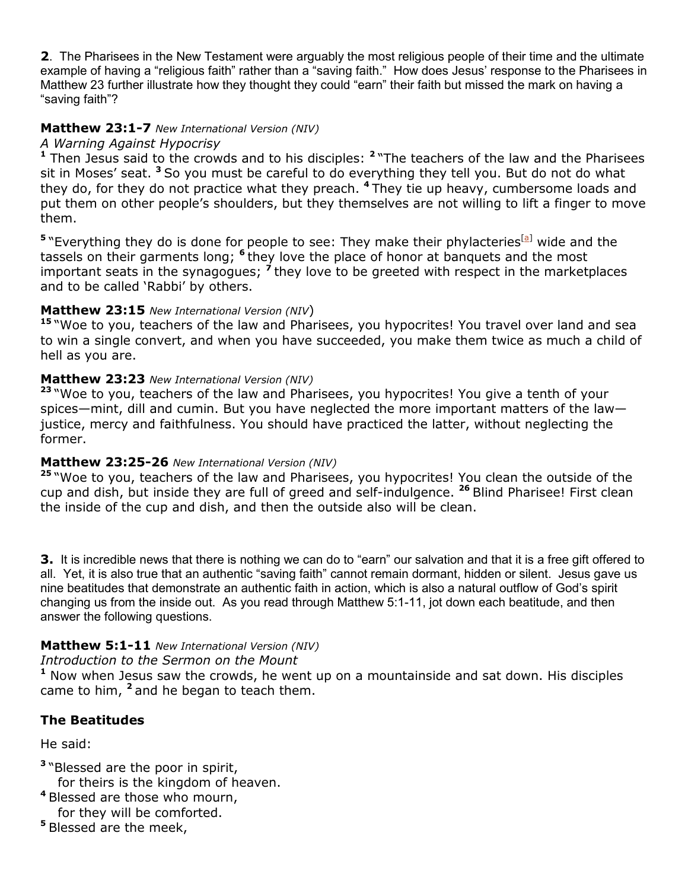**2**. The Pharisees in the New Testament were arguably the most religious people of their time and the ultimate example of having a "religious faith" rather than a "saving faith." How does Jesus' response to the Pharisees in Matthew 23 further illustrate how they thought they could "earn" their faith but missed the mark on having a "saving faith"?

# **Matthew 23:1-7** *New International Version (NIV)*

### *A Warning Against Hypocrisy*

**<sup>1</sup>** Then Jesus said to the crowds and to his disciples: **<sup>2</sup>**"The teachers of the law and the Pharisees sit in Moses' seat. **<sup>3</sup>**So you must be careful to do everything they tell you. But do not do what they do, for they do not practice what they preach. **<sup>4</sup>**They tie up heavy, cumbersome loads and put them on other people's shoulders, but they themselves are not willing to lift a finger to move them.

<sup>5</sup> "Everything they do is done for people to see: They make their phylacteries<sup>[a]</sup> wide and the tassels on their garments long; **<sup>6</sup>**they love the place of honor at banquets and the most important seats in the synagogues; **<sup>7</sup>**they love to be greeted with respect in the marketplaces and to be called 'Rabbi' by others.

# **Matthew 23:15** *New International Version (NIV*)

**<sup>15</sup>**"Woe to you, teachers of the law and Pharisees, you hypocrites! You travel over land and sea to win a single convert, and when you have succeeded, you make them twice as much a child of hell as you are.

### **Matthew 23:23** *New International Version (NIV)*

**<sup>23</sup>**"Woe to you, teachers of the law and Pharisees, you hypocrites! You give a tenth of your spices—mint, dill and cumin. But you have neglected the more important matters of the law justice, mercy and faithfulness. You should have practiced the latter, without neglecting the former.

# **Matthew 23:25-26** *New International Version (NIV)*

**<sup>25</sup>**"Woe to you, teachers of the law and Pharisees, you hypocrites! You clean the outside of the cup and dish, but inside they are full of greed and self-indulgence. **<sup>26</sup>**Blind Pharisee! First clean the inside of the cup and dish, and then the outside also will be clean.

**3.** It is incredible news that there is nothing we can do to "earn" our salvation and that it is a free gift offered to all. Yet, it is also true that an authentic "saving faith" cannot remain dormant, hidden or silent. Jesus gave us nine beatitudes that demonstrate an authentic faith in action, which is also a natural outflow of God's spirit changing us from the inside out. As you read through Matthew 5:1-11, jot down each beatitude, and then answer the following questions.

# **Matthew 5:1-11** *New International Version (NIV)*

### *Introduction to the Sermon on the Mount*

**<sup>1</sup>** Now when Jesus saw the crowds, he went up on a mountainside and sat down. His disciples came to him, **<sup>2</sup>**and he began to teach them.

# **The Beatitudes**

He said:

- **<sup>3</sup>**"Blessed are the poor in spirit, for theirs is the kingdom of heaven.
- **<sup>4</sup>**Blessed are those who mourn, for they will be comforted.
- **<sup>5</sup>**Blessed are the meek,